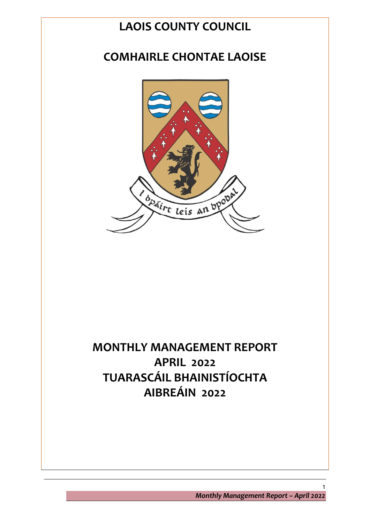# **LAOIS COUNTY COUNCIL**

# **COMHAIRLE CHONTAE LAOISE**



# **MONTHLY MANAGEMENT REPORT APRIL 2022 TUARASCÁIL BHAINISTÍOCHTA AIBREÁIN 2022**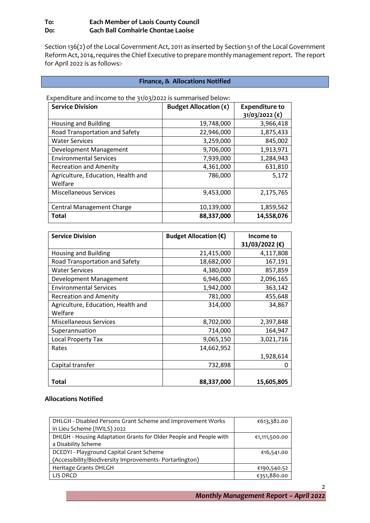# **To: Each Member of Laois County Council Do: Gach Ball Comhairle Chontae Laoise**

Section 136(2) of the Local Government Act, 2011 as inserted by Section 51 of the Local Government Reform Act, 2014, requires the Chief Executive to prepare monthly management report. The report for April 2022 is as follows:-

#### **Finance, & Allocations Notified**

| <b>Service Division</b>            | Budget Allocation $(\epsilon)$ | <b>Expenditure to</b>       |
|------------------------------------|--------------------------------|-----------------------------|
|                                    |                                | $31/03/2022$ ( $\epsilon$ ) |
| <b>Housing and Building</b>        | 19,748,000                     | 3,966,418                   |
| Road Transportation and Safety     | 22,946,000                     | 1,875,433                   |
| <b>Water Services</b>              | 3,259,000                      | 845,002                     |
| Development Management             | 9,706,000                      | 1,913,971                   |
| <b>Environmental Services</b>      | 7,939,000                      | 1,284,943                   |
| <b>Recreation and Amenity</b>      | 4,361,000                      | 631,810                     |
| Agriculture, Education, Health and | 786,000                        | 5,172                       |
| Welfare                            |                                |                             |
| <b>Miscellaneous Services</b>      | 9,453,000                      | 2,175,765                   |
|                                    |                                |                             |
| <b>Central Management Charge</b>   | 10,139,000                     | 1,859,562                   |
| <b>Total</b>                       | 88,337,000                     | 14,558,076                  |

Expenditure and income to the 31/03/2022 is summarised below:

| <b>Service Division</b>            | Budget Allocation $(\epsilon)$ | Income to      |
|------------------------------------|--------------------------------|----------------|
|                                    |                                | 31/03/2022 (€) |
| Housing and Building               | 21,415,000                     | 4,117,808      |
| Road Transportation and Safety     | 18,682,000                     | 167,191        |
| <b>Water Services</b>              | 4,380,000                      | 857,859        |
| Development Management             | 6,946,000                      | 2,096,165      |
| <b>Environmental Services</b>      | 1,942,000                      | 363,142        |
| <b>Recreation and Amenity</b>      | 781,000                        | 455,648        |
| Agriculture, Education, Health and | 314,000                        | 34,867         |
| Welfare                            |                                |                |
| <b>Miscellaneous Services</b>      | 8,702,000                      | 2,397,848      |
| Superannuation                     | 714,000                        | 164,947        |
| <b>Local Property Tax</b>          | 9,065,150                      | 3,021,716      |
| Rates                              | 14,662,952                     |                |
|                                    |                                | 1,928,614      |
| Capital transfer                   | 732,898                        | Ω              |
| <b>Total</b>                       | 88,337,000                     | 15,605,805     |

#### **Allocations Notified**

| DHLGH - Disabled Persons Grant Scheme and Improvement Works<br>in Lieu Scheme (IWILS) 2022 | €613,382.00   |
|--------------------------------------------------------------------------------------------|---------------|
| DHLGH - Housing Adaptation Grants for Older People and People with                         | €1,111,500.00 |
| a Disability Scheme                                                                        |               |
| DCEDYI - Playground Capital Grant Scheme                                                   | €16,541.00    |
| (Accessibility/Biodiversity Improvements- Portarlington)                                   |               |
| Heritage Grants DHLGH                                                                      | €190,540.52   |
| LIS DRCD                                                                                   | €351,880.00   |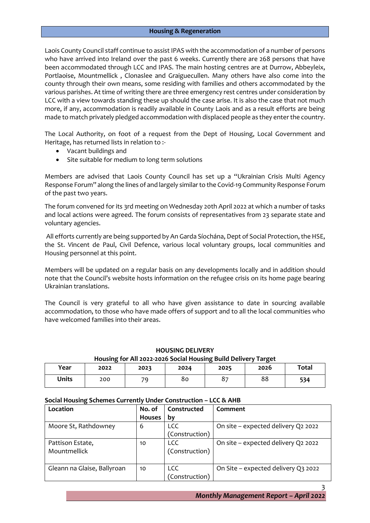Laois County Council staff continue to assist IPAS with the accommodation of a number of persons who have arrived into Ireland over the past 6 weeks. Currently there are 268 persons that have been accommodated through LCC and IPAS. The main hosting centres are at Durrow, Abbeyleix, Portlaoise, Mountmellick , Clonaslee and Graiguecullen. Many others have also come into the county through their own means, some residing with families and others accommodated by the various parishes. At time of writing there are three emergency rest centres under consideration by LCC with a view towards standing these up should the case arise. It is also the case that not much more, if any, accommodation is readily available in County Laois and as a result efforts are being made to match privately pledged accommodation with displaced people as they enter the country.

The Local Authority, on foot of a request from the Dept of Housing, Local Government and Heritage, has returned lists in relation to :-

- Vacant buildings and
- Site suitable for medium to long term solutions

Members are advised that Laois County Council has set up a "Ukrainian Crisis Multi Agency Response Forum" along the lines of and largely similar to the Covid-19 Community Response Forum of the past two years.

The forum convened for its 3rd meeting on Wednesday 20th April 2022 at which a number of tasks and local actions were agreed. The forum consists of representatives from 23 separate state and voluntary agencies.

All efforts currently are being supported by An Garda Síochána, Dept of Social Protection, the HSE, the St. Vincent de Paul, Civil Defence, various local voluntary groups, local communities and Housing personnel at this point.

Members will be updated on a regular basis on any developments locally and in addition should note that the Council's website hosts information on the refugee crisis on its home page bearing Ukrainian translations.

The Council is very grateful to all who have given assistance to date in sourcing available accommodation, to those who have made offers of support and to all the local communities who have welcomed families into their areas.

# **HOUSING DELIVERY Housing for All 2022-2026 Social Housing Build Delivery Target**

| Year         | -<br>2022 | 2023 | 2024 | 2025             | 2026 | <b>Total</b> |
|--------------|-----------|------|------|------------------|------|--------------|
| <b>Units</b> | 200       | 70   | 80   | $O -$<br>$\circ$ | 88   | 534          |

#### **Social Housing Schemes Currently Under Construction – LCC & AHB**

| Location                    | No. of        | Constructed    | Comment                             |
|-----------------------------|---------------|----------------|-------------------------------------|
|                             | <b>Houses</b> | bν             |                                     |
| Moore St, Rathdowney        | 6             | <b>LCC</b>     | On site - expected delivery Q2 2022 |
|                             |               | (Construction) |                                     |
| Pattison Estate,            | 10            | <b>LCC</b>     | On site - expected delivery Q2 2022 |
| Mountmellick                |               | (Construction) |                                     |
|                             |               |                |                                     |
| Gleann na Glaise, Ballyroan | 10            | <b>LCC</b>     | On Site – expected delivery Q3 2022 |
|                             |               | (Construction) |                                     |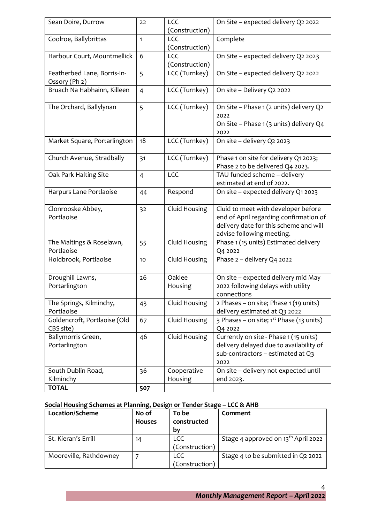| Sean Doire, Durrow                           | 22             | LCC<br>(Construction)  | On Site - expected delivery Q2 2022                                                                                                                  |
|----------------------------------------------|----------------|------------------------|------------------------------------------------------------------------------------------------------------------------------------------------------|
| Coolroe, Ballybrittas                        | $\mathbf{1}$   | LCC<br>(Construction)  | Complete                                                                                                                                             |
| Harbour Court, Mountmellick                  | 6              | LCC<br>(Construction)  | On Site - expected delivery Q2 2023                                                                                                                  |
| Featherbed Lane, Borris-In-<br>Ossory (Ph 2) | 5              | LCC (Turnkey)          | On Site - expected delivery Q2 2022                                                                                                                  |
| Bruach Na Habhainn, Killeen                  | $\overline{4}$ | LCC (Turnkey)          | On site - Delivery Q2 2022                                                                                                                           |
| The Orchard, Ballylynan                      | 5              | LCC (Turnkey)          | On Site - Phase 1 (2 units) delivery Q2<br>2022                                                                                                      |
|                                              |                |                        | On Site - Phase 1 (3 units) delivery Q4<br>2022                                                                                                      |
| Market Square, Portarlington                 | 18             | LCC (Turnkey)          | On site - delivery Q2 2023                                                                                                                           |
| Church Avenue, Stradbally                    | 31             | LCC (Turnkey)          | Phase 1 on site for delivery Q1 2023;<br>Phase 2 to be delivered Q4 2023.                                                                            |
| Oak Park Halting Site                        | $\overline{4}$ | <b>LCC</b>             | TAU funded scheme - delivery<br>estimated at end of 2022.                                                                                            |
| Harpurs Lane Portlaoise                      | 44             | Respond                | On site - expected delivery Q1 2023                                                                                                                  |
| Clonrooske Abbey,<br>Portlaoise              | 3 <sup>2</sup> | Cluid Housing          | Cluid to meet with developer before<br>end of April regarding confirmation of<br>delivery date for this scheme and will<br>advise following meeting. |
| The Maltings & Roselawn,<br>Portlaoise       | 55             | Cluid Housing          | Phase 1 (15 units) Estimated delivery<br>Q4 2022                                                                                                     |
| Holdbrook, Portlaoise                        | 10             | Cluid Housing          | Phase 2 - delivery Q4 2022                                                                                                                           |
| Droughill Lawns,<br>Portarlington            | 26             | Oaklee<br>Housing      | On site - expected delivery mid May<br>2022 following delays with utility<br>connections                                                             |
| The Springs, Kilminchy,<br>Portlaoise        | 43             | Cluid Housing          | 2 Phases – on site; Phase $1(19 \text{ units})$<br>delivery estimated at Q3 2022                                                                     |
| Goldencroft, Portlaoise (Old<br>CBS site)    | 67             | Cluid Housing          | 3 Phases – on site; $1st$ Phase (13 units)<br>Q4 2022                                                                                                |
| Ballymorris Green,<br>Portarlington          | 46             | Cluid Housing          | Currently on site - Phase 1 (15 units)<br>delivery delayed due to availability of<br>sub-contractors - estimated at Q3<br>2022                       |
| South Dublin Road,<br>Kilminchy              | 36             | Cooperative<br>Housing | On site - delivery not expected until<br>end 2023.                                                                                                   |
| <b>TOTAL</b>                                 | 507            |                        |                                                                                                                                                      |

# **Social Housing Schemes at Planning, Design or Tender Stage – LCC & AHB**

| Location/Scheme        | No of         | To be          | Comment                                         |
|------------------------|---------------|----------------|-------------------------------------------------|
|                        | <b>Houses</b> | constructed    |                                                 |
|                        |               | by             |                                                 |
| St. Kieran's Errill    | 14            | <b>LCC</b>     | Stage 4 approved on 13 <sup>th</sup> April 2022 |
|                        |               | (Construction) |                                                 |
| Mooreville, Rathdowney |               | LCC            | Stage 4 to be submitted in Q2 2022              |
|                        |               | (Construction) |                                                 |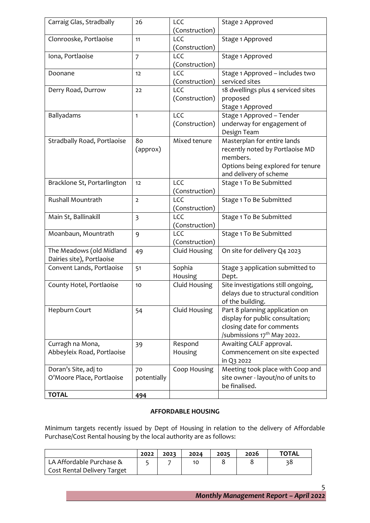| Carraig Glas, Stradbally                              | 26                      | LCC<br>(Construction) | Stage 2 Approved                                                                                                                           |
|-------------------------------------------------------|-------------------------|-----------------------|--------------------------------------------------------------------------------------------------------------------------------------------|
| Clonrooske, Portlaoise                                | 11                      | LCC<br>(Construction) | Stage 1 Approved                                                                                                                           |
| Iona, Portlaoise                                      | $\overline{7}$          | LCC<br>(Construction) | Stage 1 Approved                                                                                                                           |
| Doonane                                               | 12                      | LCC<br>(Construction) | Stage 1 Approved - includes two<br>serviced sites                                                                                          |
| Derry Road, Durrow                                    | 22                      | <b>LCC</b>            | 18 dwellings plus 4 serviced sites                                                                                                         |
|                                                       |                         | (Construction)        | proposed<br>Stage 1 Approved                                                                                                               |
| Ballyadams                                            | 1                       | LCC<br>(Construction) | Stage 1 Approved - Tender<br>underway for engagement of<br>Design Team                                                                     |
| Stradbally Road, Portlaoise                           | 80<br>(approx)          | Mixed tenure          | Masterplan for entire lands<br>recently noted by Portlaoise MD<br>members.<br>Options being explored for tenure<br>and delivery of scheme  |
| Bracklone St, Portarlington                           | 12                      | LCC<br>(Construction) | Stage 1 To Be Submitted                                                                                                                    |
| Rushall Mountrath                                     | $\overline{2}$          | LCC<br>(Construction) | Stage 1 To Be Submitted                                                                                                                    |
| Main St, Ballinakill                                  | $\overline{\mathbf{3}}$ | LCC<br>(Construction) | Stage 1 To Be Submitted                                                                                                                    |
| Moanbaun, Mountrath                                   | 9                       | LCC<br>(Construction) | Stage 1 To Be Submitted                                                                                                                    |
| The Meadows (old Midland<br>Dairies site), Portlaoise | 49                      | Cluid Housing         | On site for delivery Q4 2023                                                                                                               |
| Convent Lands, Portlaoise                             | 51                      | Sophia<br>Housing     | Stage 3 application submitted to<br>Dept.                                                                                                  |
| County Hotel, Portlaoise                              | 10                      | Cluid Housing         | Site investigations still ongoing,<br>delays due to structural condition<br>of the building.                                               |
| Hepburn Court                                         | 54                      | Cluid Housing         | Part 8 planning application on<br>display for public consultation;<br>closing date for comments<br>/submissions 17 <sup>th</sup> May 2022. |
| Curragh na Mona,<br>Abbeyleix Road, Portlaoise        | 39                      | Respond<br>Housing    | Awaiting CALF approval.<br>Commencement on site expected<br>in Q3 2022                                                                     |
| Doran's Site, adj to<br>O'Moore Place, Portlaoise     | 70<br>potentially       | Coop Housing          | Meeting took place with Coop and<br>site owner - layout/no of units to<br>be finalised.                                                    |
| <b>TOTAL</b>                                          | 494                     |                       |                                                                                                                                            |

#### **AFFORDABLE HOUSING**

Minimum targets recently issued by Dept of Housing in relation to the delivery of Affordable Purchase/Cost Rental housing by the local authority are as follows:

|                                    | 2022 | 2023 | 2024 | 2025 | 2026 | <b>TOTAL</b> |
|------------------------------------|------|------|------|------|------|--------------|
| LA Affordable Purchase &           |      |      | 10   |      |      | 38           |
| <b>Cost Rental Delivery Target</b> |      |      |      |      |      |              |

*Monthly Management Report – April 2022*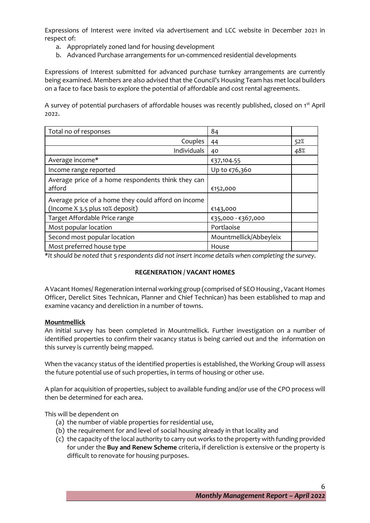Expressions of Interest were invited via advertisement and LCC website in December 2021 in respect of:

- a. Appropriately zoned land for housing development
- b. Advanced Purchase arrangements for un-commenced residential developments

Expressions of Interest submitted for advanced purchase turnkey arrangements are currently being examined. Members are also advised that the Council's Housing Team has met local builders on a face to face basis to explore the potential of affordable and cost rental agreements.

A survey of potential purchasers of affordable houses was recently published, closed on 1<sup>st</sup> April 2022.

| Total no of responses                                                                  | 84                     |     |
|----------------------------------------------------------------------------------------|------------------------|-----|
| Couples                                                                                | 44                     | 52% |
| Individuals                                                                            | 40                     | 48% |
| Average income*                                                                        | €37,104.55             |     |
| Income range reported                                                                  | Up to €76,360          |     |
| Average price of a home respondents think they can<br>afford                           | €152,000               |     |
| Average price of a home they could afford on income<br>(Income X 3.5 plus 10% deposit) | €143,000               |     |
| Target Affordable Price range                                                          | €35,000 - €367,000     |     |
| Most popular location                                                                  | Portlaoise             |     |
| Second most popular location                                                           | Mountmellick/Abbeyleix |     |
| Most preferred house type                                                              | House                  |     |

*\*It should be noted that 5 respondents did not insert income details when completing the survey.*

#### **REGENERATION / VACANT HOMES**

A Vacant Homes/ Regeneration internal working group (comprised of SEO Housing , Vacant Homes Officer, Derelict Sites Technican, Planner and Chief Technican) has been established to map and examine vacancy and dereliction in a number of towns.

#### **Mountmellick**

An initial survey has been completed in Mountmellick. Further investigation on a number of identified properties to confirm their vacancy status is being carried out and the information on this survey is currently being mapped.

When the vacancy status of the identified properties is established, the Working Group will assess the future potential use of such properties, in terms of housing or other use.

A plan for acquisition of properties, subject to available funding and/or use of the CPO process will then be determined for each area.

This will be dependent on

- (a) the number of viable properties for residential use,
- (b) the requirement for and level of social housing already in that locality and
- (c) the capacity of the local authority to carry out works to the property with funding provided for under the **Buy and Renew Scheme** criteria, if dereliction is extensive or the property is difficult to renovate for housing purposes.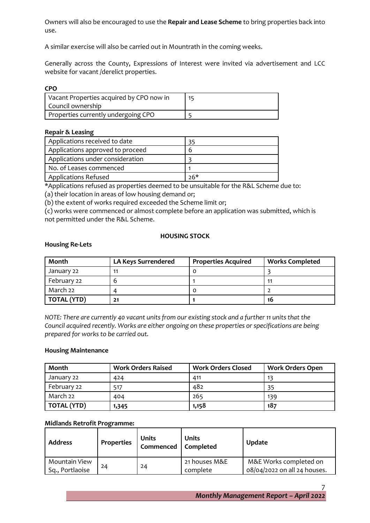Owners will also be encouraged to use the **Repair and Lease Scheme** to bring properties back into use.

A similar exercise will also be carried out in Mountrath in the coming weeks.

Generally across the County, Expressions of Interest were invited via advertisement and LCC website for vacant /derelict properties.

| a sa<br>٧<br>. .<br>۰,<br>×<br>$-$<br>M. |
|------------------------------------------|
|------------------------------------------|

| Vacant Properties acquired by CPO now in<br>Council ownership | 15 |
|---------------------------------------------------------------|----|
| Properties currently undergoing CPO                           |    |

#### **Repair & Leasing**

| Applications received to date    |     |
|----------------------------------|-----|
| Applications approved to proceed | n   |
| Applications under consideration |     |
| No. of Leases commenced          |     |
| <b>Applications Refused</b>      | ን6* |

\*Applications refused as properties deemed to be unsuitable for the R&L Scheme due to:

(a) their location in areas of low housing demand or;

(b) the extent of works required exceeded the Scheme limit or;

(c) works were commenced or almost complete before an application was submitted, which is not permitted under the R&L Scheme.

#### **HOUSING STOCK**

#### **Housing Re-Lets**

| Month              | <b>LA Keys Surrendered</b> | <b>Properties Acquired</b> | <b>Works Completed</b> |
|--------------------|----------------------------|----------------------------|------------------------|
| January 22         | 11                         |                            |                        |
| February 22        | b                          |                            | 11                     |
| March 22           | Δ                          | O                          |                        |
| <b>TOTAL (YTD)</b> | 21                         |                            | 16                     |

*NOTE: There are currently 40 vacant units from our existing stock and a further 11 units that the Council acquired recently. Works are either ongoing on these properties or specifications are being prepared for works to be carried out.* 

#### **Housing Maintenance**

| Month              | <b>Work Orders Raised</b> | <b>Work Orders Closed</b> | <b>Work Orders Open</b> |
|--------------------|---------------------------|---------------------------|-------------------------|
| January 22         | 424                       | 411                       | 13                      |
| February 22        | 517                       | 482                       | 35                      |
| March 22           | 404                       | 265                       | 139                     |
| <b>TOTAL (YTD)</b> | 1,345                     | 1,158                     | 187                     |

#### **Midlands Retrofit Programme:**

| <b>Address</b>                   | Properties | Units<br>Commenced   Completed | <b>Units</b>              | <b>Update</b>                                          |
|----------------------------------|------------|--------------------------------|---------------------------|--------------------------------------------------------|
| Mountain View<br>Sq., Portlaoise | 24         | 24                             | 21 houses M&E<br>complete | M&E Works completed on<br>08/04/2022 on all 24 houses. |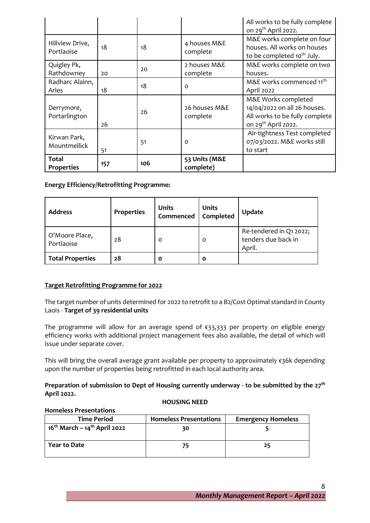|                                   |     |     |                            | All works to be fully complete<br>on 29 <sup>th</sup> April 2022.                                                        |
|-----------------------------------|-----|-----|----------------------------|--------------------------------------------------------------------------------------------------------------------------|
| Hillview Drive,<br>Portlaoise     | 18  | 18  | 4 houses M&E<br>complete   | M&E works complete on four<br>houses. All works on houses<br>to be completed 10 <sup>th</sup> July.                      |
| Quigley Pk,<br>Rathdowney         | 20  | 20  | 2 houses M&E<br>complete   | M&E works complete on two<br>houses.                                                                                     |
| Radharc Alainn,<br>Arles          | 18  | 18  | $\Omega$                   | M&E works commenced 11 <sup>th</sup><br>April 2022                                                                       |
| Derrymore,<br>Portarlington       | 26  | 26  | 26 houses M&E<br>complete  | M&E Works completed<br>14/04/2022 on all 26 houses.<br>All works to be fully complete<br>on 29 <sup>th</sup> April 2022. |
| Kirwan Park,<br>Mountmellick      | 51  | 51  | $\Omega$                   | Air-tightness Test completed<br>07/03/2022. M&E works still<br>to start                                                  |
| <b>Total</b><br><b>Properties</b> | 157 | 106 | 53 Units (M&E<br>complete) |                                                                                                                          |

# **Energy Efficiency/Retrofitting Programme:**

| <b>Address</b>               | Properties | <b>Units</b><br>Commenced | <b>Units</b><br>Completed | <b>Update</b>                                            |
|------------------------------|------------|---------------------------|---------------------------|----------------------------------------------------------|
| O'Moore Place,<br>Portlaoise | 28         | O                         | 0                         | Re-tendered in Q1 2022;<br>tenders due back in<br>April. |
| <b>Total Properties</b>      | 28         | Ο                         | O                         |                                                          |

# **Target Retrofitting Programme for 2022**

**Homeless Presentations**

The target number of units determined for 2022 to retrofit to a B2/Cost Optimal standard in County Laois - **Target of 39 residential units** 

The programme will allow for an average spend of €33,333 per property on eligible energy efficiency works with additional project management fees also available, the detail of which will issue under separate cover.

This will bring the overall average grant available per property to approximately  $\xi$ 36k depending upon the number of properties being retrofitted in each local authority area.

**Preparation of submission to Dept of Housing currently underway - to be submitted by the 27th April 2022.**

#### **HOUSING NEED**

| <b>Time Period</b>                                   | <b>Homeless Presentations</b> | <b>Emergency Homeless</b> |  |
|------------------------------------------------------|-------------------------------|---------------------------|--|
| 16 <sup>th</sup> March – 14 <sup>th</sup> April 2022 | 30                            |                           |  |
| <b>Year to Date</b>                                  |                               | 25                        |  |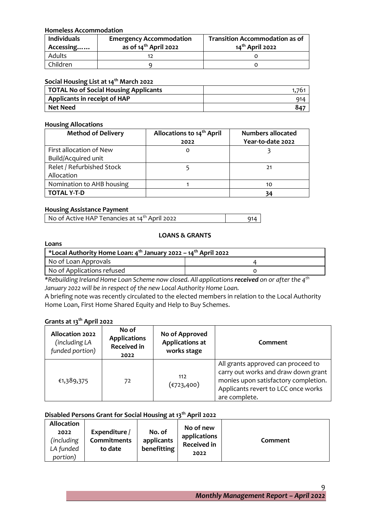#### **Homeless Accommodation**

| <b>Individuals</b><br>Accessing | <b>Emergency Accommodation</b><br>as of $14th$ April 2022 | <b>Transition Accommodation as of</b><br>14 <sup>th</sup> April 2022 |
|---------------------------------|-----------------------------------------------------------|----------------------------------------------------------------------|
| Adults                          |                                                           |                                                                      |
| Children.                       |                                                           |                                                                      |

# **Social Housing List at 14th March 2022**

| TOTAL No of Social Housing Applicants | フト  |
|---------------------------------------|-----|
| Applicants in receipt of HAP          | 914 |
| Net Need                              | 847 |

#### **Housing Allocations**

| <b>Method of Delivery</b> | Allocations to 14 <sup>th</sup> April | <b>Numbers allocated</b> |
|---------------------------|---------------------------------------|--------------------------|
|                           | 2022                                  | Year-to-date 2022        |
| First allocation of New   | 0                                     |                          |
| Build/Acquired unit       |                                       |                          |
| Relet / Refurbished Stock |                                       | 21                       |
| Allocation                |                                       |                          |
| Nomination to AHB housing |                                       | 10                       |
| <b>TOTAL Y-T-D</b>        |                                       |                          |

#### **Housing Assistance Payment**

| No of Active HAP Tenancies at 14 <sup>th</sup> April 2022 | 914 |
|-----------------------------------------------------------|-----|

#### **LOANS & GRANTS**

#### **Loans**

| *Local Authority Home Loan: $4^{th}$ January 2022 – 14 <sup>th</sup> April 2022 |  |  |  |
|---------------------------------------------------------------------------------|--|--|--|
| No of Loan Approvals                                                            |  |  |  |
| No of Applications refused                                                      |  |  |  |

*\*Rebuilding Ireland Home Loan Scheme now closed. All applications received on or after the 4th January 2022 will be in respect of the new Local Authority Home Loan.*

A briefing note was recently circulated to the elected members in relation to the Local Authority Home Loan, First Home Shared Equity and Help to Buy Schemes.

#### **Grants at 13th April 2022**

| <b>Allocation 2022</b><br>(including LA<br>funded portion) | No of<br><b>Applications</b><br><b>Received in</b><br>2022 | No of Approved<br><b>Applications at</b><br>works stage | Comment                                                                                                                                                                   |
|------------------------------------------------------------|------------------------------------------------------------|---------------------------------------------------------|---------------------------------------------------------------------------------------------------------------------------------------------------------------------------|
| €1,389,375                                                 | 72                                                         | 112<br>(€723,400)                                       | All grants approved can proceed to<br>carry out works and draw down grant<br>monies upon satisfactory completion.<br>Applicants revert to LCC once works<br>are complete. |

#### **Disabled Persons Grant for Social Housing at 13th April 2022**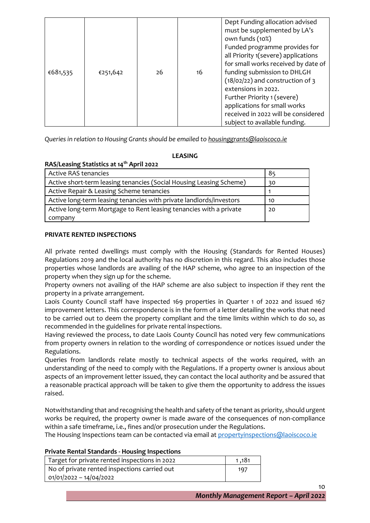| €681,535 | €251,642 | 26 | 16 | Dept Funding allocation advised<br>must be supplemented by LA's<br>own funds (10%)<br>Funded programme provides for<br>all Priority 1(severe) applications<br>for small works received by date of<br>funding submission to DHLGH<br>(18/02/22) and construction of 3<br>extensions in 2022. |
|----------|----------|----|----|---------------------------------------------------------------------------------------------------------------------------------------------------------------------------------------------------------------------------------------------------------------------------------------------|
|          |          |    |    | Further Priority 1 (severe)<br>applications for small works                                                                                                                                                                                                                                 |
|          |          |    |    | received in 2022 will be considered<br>subject to available funding.                                                                                                                                                                                                                        |

*Queries in relation to Housing Grants should be emailed to [housinggrants@laoiscoco.ie](mailto:housinggrants@laoiscoco.ie)*

# **LEASING**

# **RAS/Leasing Statistics at 14th April 2022**

| <b>Active RAS tenancies</b>                                         | 85 |
|---------------------------------------------------------------------|----|
| Active short-term leasing tenancies (Social Housing Leasing Scheme) | 30 |
| Active Repair & Leasing Scheme tenancies                            |    |
| Active long-term leasing tenancies with private landlords/investors | 10 |
| Active long-term Mortgage to Rent leasing tenancies with a private  | 20 |
| company                                                             |    |

# **PRIVATE RENTED INSPECTIONS**

All private rented dwellings must comply with the Housing (Standards for Rented Houses) Regulations 2019 and the local authority has no discretion in this regard. This also includes those properties whose landlords are availing of the HAP scheme, who agree to an inspection of the property when they sign up for the scheme.

Property owners not availing of the HAP scheme are also subject to inspection if they rent the property in a private arrangement.

Laois County Council staff have inspected 169 properties in Quarter 1 of 2022 and issued 167 improvement letters. This correspondence is in the form of a letter detailing the works that need to be carried out to deem the property compliant and the time limits within which to do so, as recommended in the guidelines for private rental inspections.

Having reviewed the process, to date Laois County Council has noted very few communications from property owners in relation to the wording of correspondence or notices issued under the Regulations.

Queries from landlords relate mostly to technical aspects of the works required, with an understanding of the need to comply with the Regulations. If a property owner is anxious about aspects of an improvement letter issued, they can contact the local authority and be assured that a reasonable practical approach will be taken to give them the opportunity to address the issues raised.

Notwithstanding that and recognising the health and safety of the tenant as priority, should urgent works be required, the property owner is made aware of the consequences of non-compliance within a safe timeframe, i.e., fines and/or prosecution under the Regulations.

The Housing Inspections team can be contacted via email at [propertyinspections@laoiscoco.ie](mailto:propertyinspections@laoiscoco.ie)

#### **Private Rental Standards - Housing Inspections**

| Target for private rented inspections in 2022 | 1 .181 |
|-----------------------------------------------|--------|
| No of private rented inspections carried out  | 197    |
| 01/01/2022 - 14/04/2022                       |        |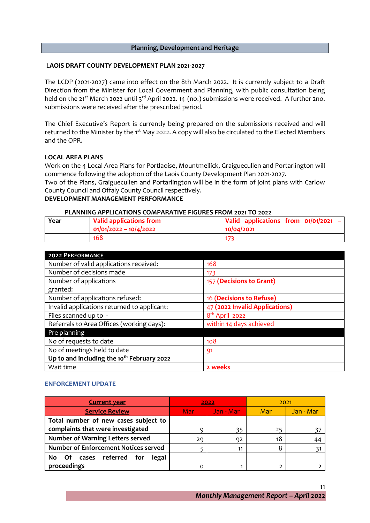#### **Planning, Development and Heritage**

#### **LAOIS DRAFT COUNTY DEVELOPMENT PLAN 2021-2027**

The LCDP (2021-2027) came into effect on the 8th March 2022. It is currently subject to a Draft Direction from the Minister for Local Government and Planning, with public consultation being held on the 21<sup>st</sup> March 2022 until 3<sup>rd</sup> April 2022. 14 (no.) submissions were received. A further 2no. submissions were received after the prescribed period.

The Chief Executive's Report is currently being prepared on the submissions received and will returned to the Minister by the 1<sup>st</sup> May 2022. A copy will also be circulated to the Elected Members and the OPR.

#### **LOCAL AREA PLANS**

Work on the 4 Local Area Plans for Portlaoise, Mountmellick, Graiguecullen and Portarlington will commence following the adoption of the Laois County Development Plan 2021-2027.

Two of the Plans, Graiguecullen and Portarlington will be in the form of joint plans with Carlow County Council and Offaly County Council respectively.

#### **DEVELOPMENT MANAGEMENT PERFORMANCE**

| PLANNING APPLICATIONS COMPARATIVE FIGURES FROM 2021 TO 2022 |  |
|-------------------------------------------------------------|--|
|                                                             |  |

| Year | Valid applications from<br>$ 01/01/2022 - 10/4/2022$ | Valid applications from $01/01/2021 -$<br>10/04/2021 |
|------|------------------------------------------------------|------------------------------------------------------|
|      | 168                                                  | 173                                                  |

| <b>2022 PERFORMANCE</b>                                |                                |
|--------------------------------------------------------|--------------------------------|
| Number of valid applications received:                 | 168                            |
| Number of decisions made                               | 173                            |
| Number of applications                                 | 157 (Decisions to Grant)       |
| granted:                                               |                                |
| Number of applications refused:                        | 16 (Decisions to Refuse)       |
| Invalid applications returned to applicant:            | 47 (2022 Invalid Applications) |
| Files scanned up to -                                  | 8 <sup>th</sup> April 2022     |
| Referrals to Area Offices (working days):              | within 14 days achieved        |
| Pre planning                                           |                                |
| No of requests to date                                 | 108                            |
| No of meetings held to date                            | -91                            |
| Up to and including the 10 <sup>th</sup> February 2022 |                                |
| Wait time                                              | 2 weeks                        |

#### **ENFORCEMENT UPDATE**

| <b>Current year</b>                         |     | 2022      | 2021       |           |
|---------------------------------------------|-----|-----------|------------|-----------|
| <b>Service Review</b>                       | Mar | Jan - Mar | <b>Mar</b> | Jan - Mar |
| Total number of new cases subject to        |     |           |            |           |
| complaints that were investigated           |     | 35        | 25         |           |
| <b>Number of Warning Letters served</b>     | 29  | 92        | 18         | 44        |
| <b>Number of Enforcement Notices served</b> |     | 11        |            |           |
| Of cases referred<br>for<br>legal<br>No.    |     |           |            |           |
| proceedings                                 |     |           |            |           |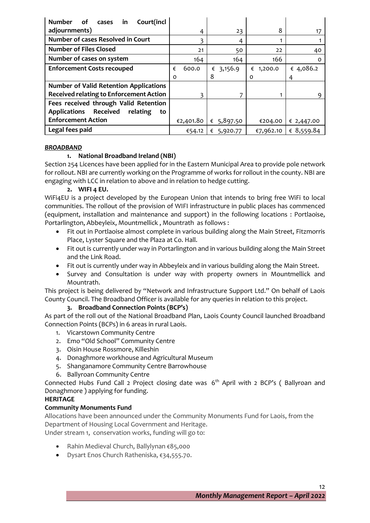| Court(incl<br><b>Number</b><br>of<br>in<br>cases         |            |               |              |            |
|----------------------------------------------------------|------------|---------------|--------------|------------|
| adjournments)                                            | 4          | 23            | 8            | 17         |
| <b>Number of cases Resolved in Court</b>                 |            | 4             |              |            |
| <b>Number of Files Closed</b>                            | 21         | 50            | 22           | 40         |
| Number of cases on system                                | 164        | 164           | 166          |            |
| <b>Enforcement Costs recouped</b>                        | 600.0<br>€ | 3,156.9<br>€  | 1,200.0<br>€ | € 4,086.2  |
|                                                          | $\Omega$   | 8             | Ω            | 4          |
| <b>Number of Valid Retention Applications</b>            |            |               |              |            |
| <b>Received relating to Enforcement Action</b>           |            | 7             |              |            |
| Fees received through Valid Retention                    |            |               |              |            |
| <b>Applications</b><br><b>Received</b><br>relating<br>to |            |               |              |            |
| <b>Enforcement Action</b>                                | €2,401.80  | 5,897.50<br>€ | €204.00      | € 2,447.00 |
| Legal fees paid                                          | €54.12     | 5,920.77<br>€ | €7,962.10    | € 8,559.84 |

#### *BROADBAND*

# **1. National Broadband Ireland (NBI)**

Section 254 Licences have been applied for in the Eastern Municipal Area to provide pole network for rollout. NBI are currently working on the Programme of works for rollout in the county. NBI are engaging with LCC in relation to above and in relation to hedge cutting.

#### **2. WIFI 4 EU.**

WiFi4EU is a project developed by the European Union that intends to bring free WiFi to local communities. The rollout of the provision of WIFI infrastructure in public places has commenced (equipment, installation and maintenance and support) in the following locations : Portlaoise, Portarlington, Abbeyleix, Mountmellick , Mountrath as follows :

- Fit out in Portlaoise almost complete in various building along the Main Street, Fitzmorris Place, Lyster Square and the Plaza at Co. Hall.
- Fit out is currently under way in Portarlington and in various building along the Main Street and the Link Road.
- Fit out is currently under way in Abbeyleix and in various building along the Main Street.
- Survey and Consultation is under way with property owners in Mountmellick and Mountrath.

This project is being delivered by "Network and Infrastructure Support Ltd." On behalf of Laois County Council. The Broadband Officer is available for any queries in relation to this project.

# **3. Broadband Connection Points (BCP's)**

As part of the roll out of the National Broadband Plan, Laois County Council launched Broadband Connection Points (BCPs) in 6 areas in rural Laois.

- 1. Vicarstown Community Centre
- 2. Emo "Old School" Community Centre
- 3. Oisin House Rossmore, Killeshin
- 4. Donaghmore workhouse and Agricultural Museum
- 5. Shanganamore Community Centre Barrowhouse
- 6. Ballyroan Community Centre

Connected Hubs Fund Call 2 Project closing date was  $6<sup>th</sup>$  April with 2 BCP's (Ballyroan and Donaghmore ) applying for funding.

# **HERITAGE**

# **Community Monuments Fund**

Allocations have been announced under the Community Monuments Fund for Laois, from the Department of Housing Local Government and Heritage. Under stream 1, conservation works, funding will go to:

- Rahin Medieval Church, Ballylynan €85,000
- Dysart Enos Church Ratheniska, €34,555.70.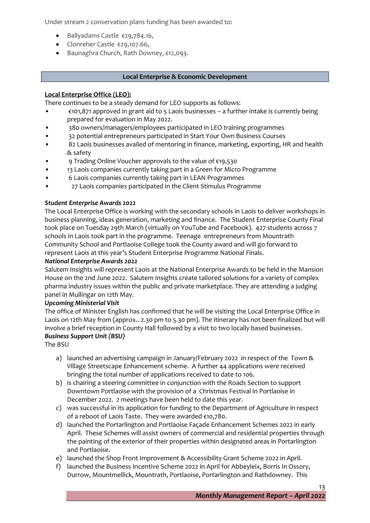Under stream 2 conservation plans funding has been awarded to:

- Ballyadams Castle €29,784.16,
- Clonreher Castle €29,107.66,
- Baunaghra Church, Rath Downey, €12,093.

#### **Local Enterprise & Economic Development**

# **Local Enterprise Office (LEO):**

There continues to be a steady demand for LEO supports as follows:

- €101,871 approved in grant aid to 5 Laois businesses a further intake is currently being prepared for evaluation in May 2022.
- 380 owners/managers/employees participated in LEO training programmes
- 32 potential entrepreneurs participated in Start Your Own Business Courses
- 82 Laois businesses availed of mentoring in finance, marketing, exporting, HR and health & safety
- 9 Trading Online Voucher approvals to the value of €19,530
- 13 Laois companies currently taking part in a Green for Micro Programme
- 6 Laois companies currently taking part in LEAN Programmes
- 27 Laois companies participated in the Client Stimulus Programme

# *Student Enterprise Awards 2022*

The Local Enterprise Office is working with the secondary schools in Laois to deliver workshops in business planning, ideas generation, marketing and finance. The Student Enterprise County Final took place on Tuesday 29th March (virtually on YouTube and Facebook). 427 students across 7 schools in Laois took part in the programme. Teenage entrepreneurs from Mountrath Community School and Portlaoise College took the County award and will go forward to represent Laois at this year's Student Enterprise Programme National Finals.

#### *National Enterprise Awards 2022*

Salutem Insights will represent Laois at the National Enterprise Awards to be held in the Mansion House on the 2nd June 2022. Salutem Insights create tailored solutions for a variety of complex pharma industry issues within the public and private marketplace. They are attending a judging panel in Mullingar on 12th May.

#### *Upcoming Ministerial Visit*

The office of Minister English has confirmed that he will be visiting the Local Enterprise Office in Laois on 12th May from (approx.. 2.30 pm to 5.30 pm). The itinerary has not been finalized but will involve a brief reception in County Hall followed by a visit to two locally based businesses. *Business Support Unit (BSU)*

The BSU

- a) launched an advertising campaign in January/February 2022 in respect of the Town & Village Streetscape Enhancement scheme. A further 44 applications were received bringing the total number of applications received to date to 106.
- b) is chairing a steering committee in conjunction with the Roads Section to support Downtown Portlaoise with the provision of a Christmas Festival in Portlaoise in December 2022. 2 meetings have been held to date this year.
- c) was successful in its application for funding to the Department of Agriculture in respect of a reboot of Laois Taste. They were awarded €10,780.
- d) launched the Portarlington and Portlaoise Façade Enhancement Schemes 2022 in early April. These Schemes will assist owners of commercial and residential properties through the painting of the exterior of their properties within designated areas in Portarlington and Portlaoise.
- e) launched the Shop Front Improvement & Accessibility Grant Scheme 2022 in April.
- f) launched the Business Incentive Scheme 2022 in April for Abbeyleix, Borris In Ossory, Durrow, Mountmellick, Mountrath, Portlaoise, Portarlington and Rathdowney. This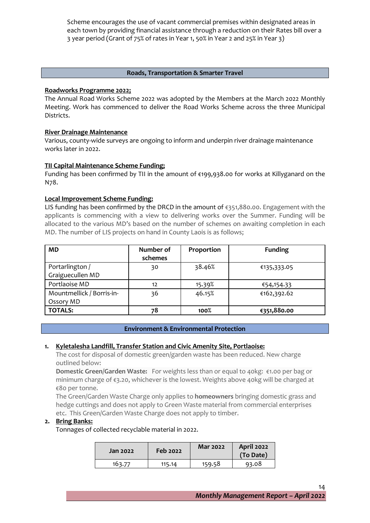Scheme encourages the use of vacant commercial premises within designated areas in each town by providing financial assistance through a reduction on their Rates bill over a 3 year period (Grant of 75% of rates in Year 1, 50% in Year 2 and 25% in Year 3)

#### **Roads, Transportation & Smarter Travel**

#### **Roadworks Programme 2022;**

The Annual Road Works Scheme 2022 was adopted by the Members at the March 2022 Monthly Meeting. Work has commenced to deliver the Road Works Scheme across the three Municipal Districts.

#### **River Drainage Maintenance**

Various, county-wide surveys are ongoing to inform and underpin river drainage maintenance works later in 2022.

#### **TII Capital Maintenance Scheme Funding;**

Funding has been confirmed by TII in the amount of €199,938.00 for works at Killyganard on the N78.

#### **Local Improvement Scheme Funding:**

LIS funding has been confirmed by the DRCD in the amount of €351,880.00. Engagement with the applicants is commencing with a view to delivering works over the Summer. Funding will be allocated to the various MD's based on the number of schemes on awaiting completion in each MD. The number of LIS projects on hand in County Laois is as follows;

| <b>MD</b>                              | Number of<br>schemes | Proportion | <b>Funding</b> |
|----------------------------------------|----------------------|------------|----------------|
| Portarlington /<br>Graiguecullen MD    | 30                   | 38.46%     | €135,333.05    |
| Portlaoise MD                          | 12                   | 15.39%     | €54,154.33     |
| Mountmellick / Borris-in-<br>Ossory MD | 36                   | 46.15%     | €162,392.62    |
| <b>TOTALS:</b>                         | 78                   | 100%       | €351,880.00    |

#### **Environment & Environmental Protection**

#### **1. Kyletalesha Landfill, Transfer Station and Civic Amenity Site, Portlaoise:**

The cost for disposal of domestic green/garden waste has been reduced. New charge outlined below:

**Domestic Green/Garden Waste:** For weights less than or equal to 40kg: €1.00 per bag or minimum charge of €3.20, whichever is the lowest. Weights above 40kg will be charged at €80 per tonne.

The Green/Garden Waste Charge only applies to **homeowners** bringing domestic grass and hedge cuttings and does not apply to Green Waste material from commercial enterprises etc. This Green/Garden Waste Charge does not apply to timber.

#### **2. Bring Banks:**

Tonnages of collected recyclable material in 2022.

| Jan 2022 | Feb 2022 | <b>Mar 2022</b> | <b>April 2022</b><br>(To Date) |
|----------|----------|-----------------|--------------------------------|
| 163.77   | 115.14   | 159.58          | 93.08                          |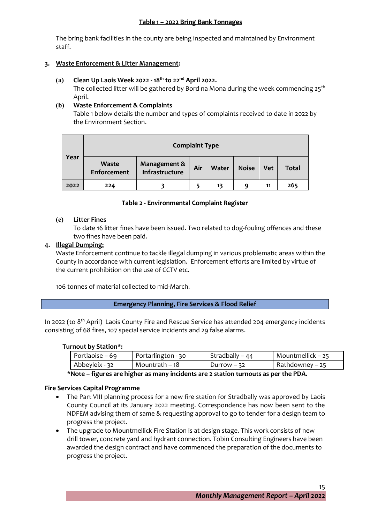#### **Table 1 – 2022 Bring Bank Tonnages**

The bring bank facilities in the county are being inspected and maintained by Environment staff.

#### **3. Waste Enforcement & Litter Management:**

#### **(a) Clean Up Laois Week 2022 - 18th to 22nd April 2022.**

The collected litter will be gathered by Bord na Mona during the week commencing  $25<sup>th</sup>$ April.

#### **(b) Waste Enforcement & Complaints**

Table 1 below details the number and types of complaints received to date in 2022 by the Environment Section.

| Year | <b>Complaint Type</b>              |                                |     |              |              |            |              |  |
|------|------------------------------------|--------------------------------|-----|--------------|--------------|------------|--------------|--|
|      | <b>Waste</b><br><b>Enforcement</b> | Management &<br>Infrastructure | Air | <b>Water</b> | <b>Noise</b> | <b>Vet</b> | <b>Total</b> |  |
| 2022 | 224                                |                                |     | 13           | q            | 11         | 265          |  |

# **Table 2 - Environmental Complaint Register**

#### **(c) Litter Fines**

To date 16 litter fines have been issued. Two related to dog-fouling offences and these two fines have been paid.

#### **4. Illegal Dumping:**

Waste Enforcement continue to tackle illegal dumping in various problematic areas within the County in accordance with current legislation. Enforcement efforts are limited by virtue of the current prohibition on the use of CCTV etc.

106 tonnes of material collected to mid-March.

#### **Emergency Planning, Fire Services & Flood Relief**

In 2022 (to 8<sup>th</sup> April) Laois County Fire and Rescue Service has attended 204 emergency incidents consisting of 68 fires, 107 special service incidents and 29 false alarms.

#### **Turnout by Station\*:**

| Portlaoise – 69                  | Portarlington - 30 | Stradbally $-44$ | Mountmellick – $25$ |  |
|----------------------------------|--------------------|------------------|---------------------|--|
| Mountrath – 18<br>Abbeyleix - 32 |                    | Durrow $-32$     | Rathdowney – 25     |  |
| $\mathbf{a}$                     |                    |                  |                     |  |

**\*Note – figures are higher as many incidents are 2 station turnouts as per the PDA.**

#### **Fire Services Capital Programme**

- The Part VIII planning process for a new fire station for Stradbally was approved by Laois County Council at its January 2022 meeting. Correspondence has now been sent to the NDFEM advising them of same & requesting approval to go to tender for a design team to progress the project.
- The upgrade to Mountmellick Fire Station is at design stage. This work consists of new drill tower, concrete yard and hydrant connection. Tobin Consulting Engineers have been awarded the design contract and have commenced the preparation of the documents to progress the project.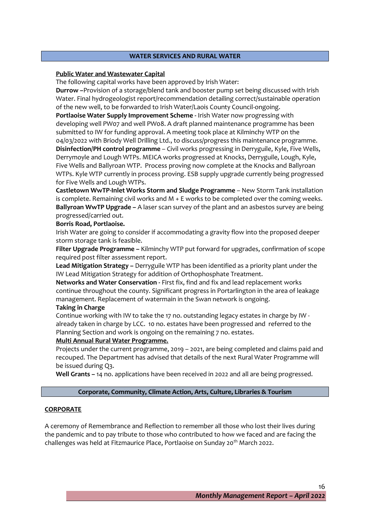#### **WATER SERVICES AND RURAL WATER**

#### **Public Water and Wastewater Capital**

The following capital works have been approved by Irish Water:

**Durrow –**Provision of a storage/blend tank and booster pump set being discussed with Irish Water. Final hydrogeologist report/recommendation detailing correct/sustainable operation of the new well, to be forwarded to Irish Water/Laois County Council-ongoing.

**Portlaoise Water Supply Improvement Scheme -** Irish Water now progressing with developing well PW07 and well PW08. A draft planned maintenance programme has been submitted to IW for funding approval. A meeting took place at Kilminchy WTP on the 04/03/2022 with Briody Well Drilling Ltd., to discuss/progress this maintenance programme.

**Disinfection/PH control programme** – Civil works progressing in Derryguile, Kyle, Five Wells, Derrymoyle and Lough WTPs. MEICA works progressed at Knocks, Derryguile, Lough, Kyle, Five Wells and Ballyroan WTP. Process proving now complete at the Knocks and Ballyroan WTPs. Kyle WTP currently in process proving. ESB supply upgrade currently being progressed for Five Wells and Lough WTPs.

**Castletown WwTP-Inlet Works Storm and Sludge Programme** – New Storm Tank installation is complete. Remaining civil works and  $M + E$  works to be completed over the coming weeks. **Ballyroan WwTP Upgrade –** A laser scan survey of the plant and an asbestos survey are being progressed/carried out.

#### **Borris Road, Portlaoise.**

Irish Water are going to consider if accommodating a gravity flow into the proposed deeper storm storage tank is feasible.

**Filter Upgrade Programme –** Kilminchy WTP put forward for upgrades, confirmation of scope required post filter assessment report.

**Lead Mitigation Strategy –** Derryguile WTP has been identified as a priority plant under the IW Lead Mitigation Strategy for addition of Orthophosphate Treatment.

**Networks and Water Conservation -** First fix, find and fix and lead replacement works continue throughout the county. Significant progress in Portarlington in the area of leakage management. Replacement of watermain in the Swan network is ongoing.

#### **Taking in Charge**

Continue working with IW to take the 17 no. outstanding legacy estates in charge by IW already taken in charge by LCC. 10 no. estates have been progressed and referred to the Planning Section and work is ongoing on the remaining 7 no. estates.

#### **Multi Annual Rural Water Programme.**

Projects under the current programme, 2019 – 2021, are being completed and claims paid and recouped. The Department has advised that details of the next Rural Water Programme will be issued during Q3.

**Well Grants –** 14 no. applications have been received in 2022 and all are being progressed.

#### **Corporate, Community, Climate Action, Arts, Culture, Libraries & Tourism**

#### **CORPORATE**

A ceremony of Remembrance and Reflection to remember all those who lost their lives during the pandemic and to pay tribute to those who contributed to how we faced and are facing the challenges was held at Fitzmaurice Place, Portlaoise on Sunday 20<sup>th</sup> March 2022.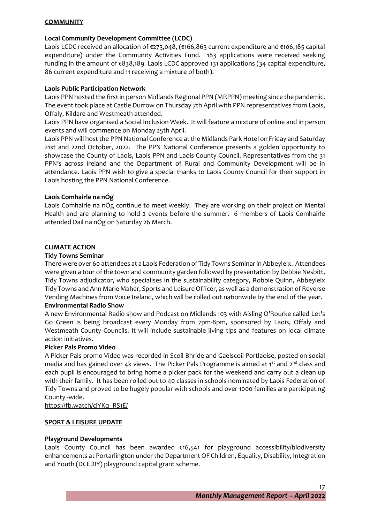#### **COMMUNITY**

#### **Local Community Development Committee (LCDC)**

Laois LCDC received an allocation of €273,048, (€166,863 current expenditure and €106,185 capital expenditure) under the Community Activities Fund. 183 applications were received seeking funding in the amount of €838,189. Laois LCDC approved 131 applications (34 capital expenditure, 86 current expenditure and 11 receiving a mixture of both).

#### **Laois Public Participation Network**

Laois PPN hosted the first in person Midlands Regional PPN (MRPPN) meeting since the pandemic. The event took place at Castle Durrow on Thursday 7th April with PPN representatives from Laois, Offaly, Kildare and Westmeath attended.

Laois PPN have organised a Social Inclusion Week. It will feature a mixture of online and in person events and will commence on Monday 25th April.

Laois PPN will host the PPN National Conference at the Midlands Park Hotel on Friday and Saturday 21st and 22nd October, 2022. The PPN National Conference presents a golden opportunity to showcase the County of Laois, Laois PPN and Laois County Council. Representatives from the 31 PPN's across Ireland and the Department of Rural and Community Development will be in attendance. Laois PPN wish to give a special thanks to Laois County Council for their support in Laois hosting the PPN National Conference.

#### **Laois Comhairle na nÓg**

Laois Comhairle na nÓg continue to meet weekly. They are working on their project on Mental Health and are planning to hold 2 events before the summer. 6 members of Laois Comhairle attended Dail na nÓg on Saturday 26 March.

#### **CLIMATE ACTION**

#### **Tidy Towns Seminar**

There were over 60 attendees at a Laois Federation of Tidy Towns Seminar in Abbeyleix. Attendees were given a tour of the town and community garden followed by presentation by Debbie Nesbitt, Tidy Towns adjudicator, who specialises in the sustainability category, Robbie Quinn, Abbeyleix Tidy Towns and Ann Marie Maher, Sports and Leisure Officer, as well as a demonstration of Reverse Vending Machines from Voice Ireland, which will be rolled out nationwide by the end of the year. **Environmental Radio Show** 

A new Environmental Radio show and Podcast on Midlands 103 with Aisling O'Rourke called Let's Go Green is being broadcast every Monday from 7pm-8pm, sponsored by Laois, Offaly and Westmeath County Councils. It will include sustainable living tips and features on local climate action initiatives.

#### **Picker Pals Promo Video**

A Picker Pals promo Video was recorded in Scoil Bhride and Gaelscoil Portlaoise, posted on social media and has gained over 4k views. The Picker Pals Programme is aimed at  $1^{st}$  and  $2^{nd}$  class and each pupil is encouraged to bring home a picker pack for the weekend and carry out a clean up with their family. It has been rolled out to 40 classes in schools nominated by Laois Federation of Tidy Towns and proved to be hugely popular with schools and over 1000 families are participating County -wide.

[https://fb.watch/cjYKq\\_RS1E/](https://fb.watch/cjYKq_RS1E/)

#### **SPORT & LEISURE UPDATE**

#### **Playground Developments**

Laois County Council has been awarded €16,541 for playground accessibility/biodiversity enhancements at Portarlington under the Department OF Children, Equality, Disability, Integration and Youth (DCEDIY) playground capital grant scheme.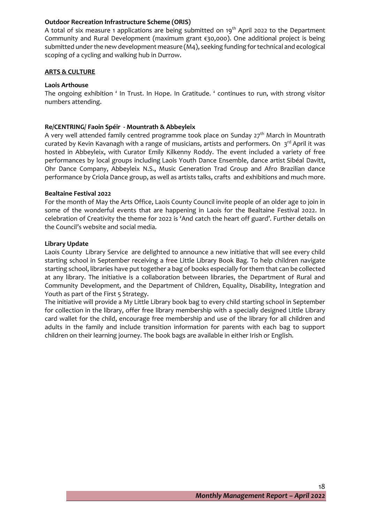#### **Outdoor Recreation Infrastructure Scheme (ORIS)**

A total of six measure 1 applications are being submitted on 19<sup>th</sup> April 2022 to the Department Community and Rural Development (maximum grant €30,000). One additional project is being submitted under the new development measure (M4), seeking funding for technical and ecological scoping of a cycling and walking hub in Durrow.

#### **ARTS & CULTURE**

#### **Laois Arthouse**

The ongoing exhibition ' In Trust. In Hope. In Gratitude. ' continues to run, with strong visitor numbers attending.

#### **Re/CENTRING/ Faoin Spéir - Mountrath & Abbeyleix**

A very well attended family centred programme took place on Sunday  $27<sup>th</sup>$  March in Mountrath curated by Kevin Kavanagh with a range of musicians, artists and performers. On 3<sup>rd</sup> April it was hosted in Abbeyleix, with Curator Emily Kilkenny Roddy. The event included a variety of free performances by local groups including Laois Youth Dance Ensemble, dance artist Sibéal Davitt, Ohr Dance Company, Abbeyleix N.S., Music Generation Trad Group and Afro Brazilian dance performance by Criola Dance group, as well as artists talks, crafts and exhibitions and much more.

#### **Bealtaine Festival 2022**

For the month of May the Arts Office, Laois County Council invite people of an older age to join in some of the wonderful events that are happening in Laois for the Bealtaine Festival 2022. In celebration of Creativity the theme for 2022 is 'And catch the heart off guard'. Further details on the Council's website and social media.

#### **Library Update**

Laois County Library Service are delighted to announce a new initiative that will see every child starting school in September receiving a free Little Library Book Bag. To help children navigate starting school, libraries have put together a bag of books especially for them that can be collected at any library. The initiative is a collaboration between libraries, the Department of Rural and Community Development, and the Department of Children, Equality, Disability, Integration and Youth as part of the First 5 Strategy.

The initiative will provide a My Little Library book bag to every child starting school in September for collection in the library, offer free library membership with a specially designed Little Library card wallet for the child, encourage free membership and use of the library for all children and adults in the family and include transition information for parents with each bag to support children on their learning journey. The book bags are available in either Irish or English.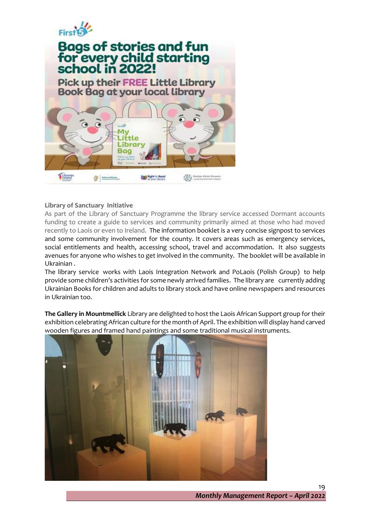

# **Bags of stories and fun<br>for every child starting<br>school in 2022! Pick up their FREE Little Library Book Bag at your local library** M. ittle .ibrary Bag

**Dight** to Read

# **Library of Sanctuary Initiative**

 $\begin{picture}(20,10) \put(0,0){\line(1,0){10}} \put(10,0){\line(1,0){10}} \put(10,0){\line(1,0){10}} \put(10,0){\line(1,0){10}} \put(10,0){\line(1,0){10}} \put(10,0){\line(1,0){10}} \put(10,0){\line(1,0){10}} \put(10,0){\line(1,0){10}} \put(10,0){\line(1,0){10}} \put(10,0){\line(1,0){10}} \put(10,0){\line(1,0){10}} \put(10,0){\line(1$ 

Library<br>**Ireland** 

As part of the Library of Sanctuary Programme the library service accessed Dormant accounts funding to create a guide to services and community primarily aimed at those who had moved recently to Laois or even to Ireland. The information booklet is a very concise signpost to services and some community involvement for the county. It covers areas such as emergency services, social entitlements and health, accessing school, travel and accommodation. It also suggests avenues for anyone who wishes to get involved in the community. The booklet will be available in Ukrainian .

**CALL Ristan Attal Evenin**<br>With Local Government Index

The library service works with Laois Integration Network and PoLaois (Polish Group) to help provide some children's activities for some newly arrived families. The library are currently adding Ukrainian Books for children and adults to library stock and have online newspapers and resources in Ukrainian too.

**The Gallery in Mountmellick** Library are delighted to host the Laois African Support group for their exhibition celebrating African culture for the month of April. The exhibition will display hand carved wooden figures and framed hand paintings and some traditional musical instruments.